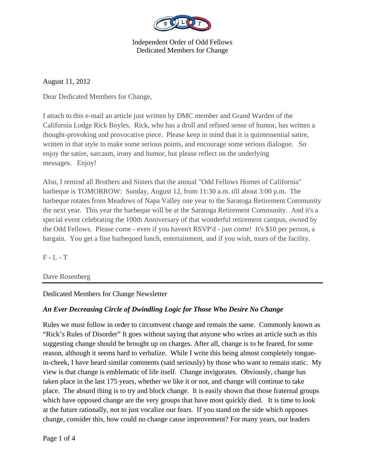

August 11, 2012

Dear Dedicated Members for Change,

I attach to this e-mail an article just written by DMC member and Grand Warden of the California Lodge Rick Boyles. Rick, who has a droll and refined sense of humor, has written a thought-provoking and provocative piece. Please keep in mind that it is quintessential satire, written in that style to make some serious points, and encourage some serious dialogue. So enjoy the satire, sarcasm, irony and humor, but please reflect on the underlying messages. Enjoy!

Also, I remind all Brothers and Sisters that the annual "Odd Fellows Homes of California" barbeque is TOMORROW: Sunday, August 12, from 11:30 a.m. till about 3:00 p.m. The barbeque rotates from Meadows of Napa Valley one year to the Saratoga Retirement Community the next year. This year the barbeque will be at the Saratoga Retirement Community. And it's a special event celebrating the 100th Anniversary of that wonderful retirement campus, owned by the Odd Fellows. Please come - even if you haven't RSVP'd - just come! It's \$10 per person, a bargain. You get a fine barbequed lunch, entertainment, and if you wish, tours of the facility.

 $F - L - T$ 

Dave Rosenberg

Dedicated Members for Change Newsletter

## *An Ever Decreasing Circle of Dwindling Logic for Those Who Desire No Change*

Rules we must follow in order to circumvent change and remain the same. Commonly known as "Rick's Rules of Disorder" It goes without saying that anyone who writes an article such as this suggesting change should be brought up on charges. After all, change is to be feared, for some reason, although it seems hard to verbalize. While I write this being almost completely tonguein-cheek, I have heard similar comments (said seriously) by those who want to remain static. My view is that change is emblematic of life itself. Change invigorates. Obviously, change has taken place in the last 175 years, whether we like it or not, and change will continue to take place. The absurd thing is to try and block change. It is easily shown that those fraternal groups which have opposed change are the very groups that have most quickly died. It is time to look at the future rationally, not to just vocalize our fears. If you stand on the side which opposes change, consider this, how could no change cause improvement? For many years, our leaders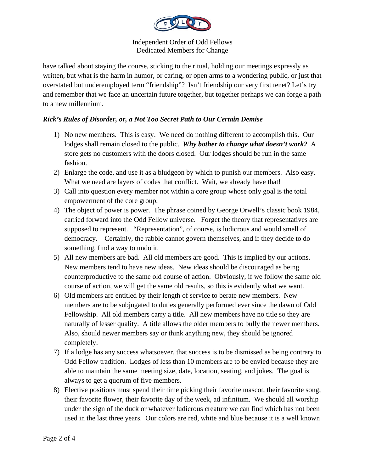

have talked about staying the course, sticking to the ritual, holding our meetings expressly as written, but what is the harm in humor, or caring, or open arms to a wondering public, or just that overstated but underemployed term "friendship"? Isn't friendship our very first tenet? Let's try and remember that we face an uncertain future together, but together perhaps we can forge a path to a new millennium.

## *Rick's Rules of Disorder, or, a Not Too Secret Path to Our Certain Demise*

- 1) No new members. This is easy. We need do nothing different to accomplish this. Our lodges shall remain closed to the public. *Why bother to change what doesn't work?* A store gets no customers with the doors closed. Our lodges should be run in the same fashion.
- 2) Enlarge the code, and use it as a bludgeon by which to punish our members. Also easy. What we need are layers of codes that conflict. Wait, we already have that!
- 3) Call into question every member not within a core group whose only goal is the total empowerment of the core group.
- 4) The object of power is power. The phrase coined by George Orwell's classic book 1984, carried forward into the Odd Fellow universe. Forget the theory that representatives are supposed to represent. "Representation", of course, is ludicrous and would smell of democracy. Certainly, the rabble cannot govern themselves, and if they decide to do something, find a way to undo it.
- 5) All new members are bad. All old members are good. This is implied by our actions. New members tend to have new ideas. New ideas should be discouraged as being counterproductive to the same old course of action. Obviously, if we follow the same old course of action, we will get the same old results, so this is evidently what we want.
- 6) Old members are entitled by their length of service to berate new members. New members are to be subjugated to duties generally performed ever since the dawn of Odd Fellowship. All old members carry a title. All new members have no title so they are naturally of lesser quality. A title allows the older members to bully the newer members. Also, should newer members say or think anything new, they should be ignored completely.
- 7) If a lodge has any success whatsoever, that success is to be dismissed as being contrary to Odd Fellow tradition. Lodges of less than 10 members are to be envied because they are able to maintain the same meeting size, date, location, seating, and jokes. The goal is always to get a quorum of five members.
- 8) Elective positions must spend their time picking their favorite mascot, their favorite song, their favorite flower, their favorite day of the week, ad infinitum. We should all worship under the sign of the duck or whatever ludicrous creature we can find which has not been used in the last three years. Our colors are red, white and blue because it is a well known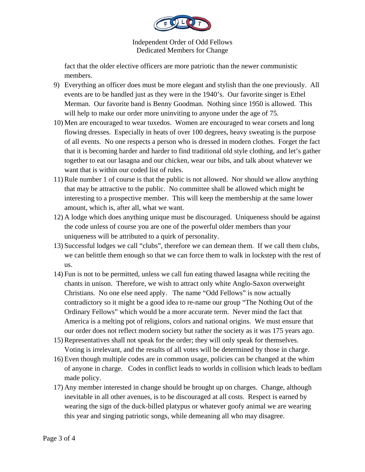

fact that the older elective officers are more patriotic than the newer communistic members.

- 9) Everything an officer does must be more elegant and stylish than the one previously. All events are to be handled just as they were in the 1940's. Our favorite singer is Ethel Merman. Our favorite band is Benny Goodman. Nothing since 1950 is allowed. This will help to make our order more uninviting to anyone under the age of 75.
- 10) Men are encouraged to wear tuxedos. Women are encouraged to wear corsets and long flowing dresses. Especially in heats of over 100 degrees, heavy sweating is the purpose of all events. No one respects a person who is dressed in modern clothes. Forget the fact that it is becoming harder and harder to find traditional old style clothing, and let's gather together to eat our lasagna and our chicken, wear our bibs, and talk about whatever we want that is within our coded list of rules.
- 11) Rule number 1 of course is that the public is not allowed. Nor should we allow anything that may be attractive to the public. No committee shall be allowed which might be interesting to a prospective member. This will keep the membership at the same lower amount, which is, after all, what we want.
- 12) A lodge which does anything unique must be discouraged. Uniqueness should be against the code unless of course you are one of the powerful older members than your uniqueness will be attributed to a quirk of personality.
- 13) Successful lodges we call "clubs", therefore we can demean them. If we call them clubs, we can belittle them enough so that we can force them to walk in lockstep with the rest of us.
- 14) Fun is not to be permitted, unless we call fun eating thawed lasagna while reciting the chants in unison. Therefore, we wish to attract only white Anglo-Saxon overweight Christians. No one else need apply. The name "Odd Fellows" is now actually contradictory so it might be a good idea to re-name our group "The Nothing Out of the Ordinary Fellows" which would be a more accurate term. Never mind the fact that America is a melting pot of religions, colors and national origins. We must ensure that our order does not reflect modern society but rather the society as it was 175 years ago.
- 15) Representatives shall not speak for the order; they will only speak for themselves. Voting is irrelevant, and the results of all votes will be determined by those in charge.
- 16) Even though multiple codes are in common usage, policies can be changed at the whim of anyone in charge. Codes in conflict leads to worlds in collision which leads to bedlam made policy.
- 17) Any member interested in change should be brought up on charges. Change, although inevitable in all other avenues, is to be discouraged at all costs. Respect is earned by wearing the sign of the duck-billed platypus or whatever goofy animal we are wearing this year and singing patriotic songs, while demeaning all who may disagree.